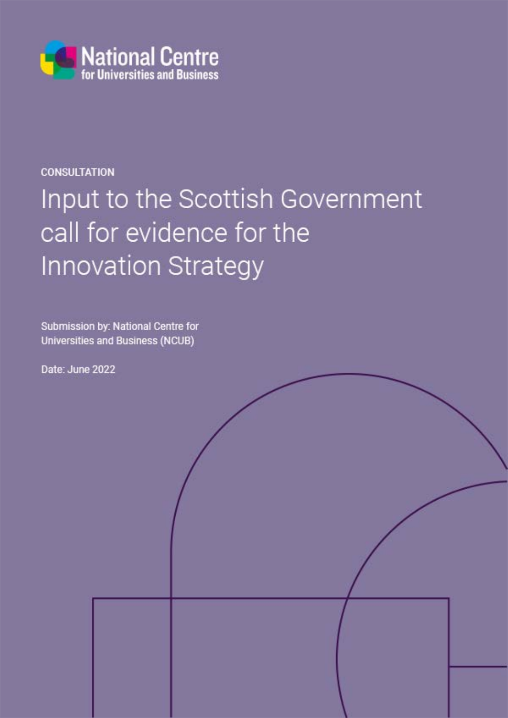

## **CONSULTATION**

# Input to the Scottish Government call for evidence for the **Innovation Strategy**

Submission by: National Centre for Universities and Business (NCUB)

Date: June 2022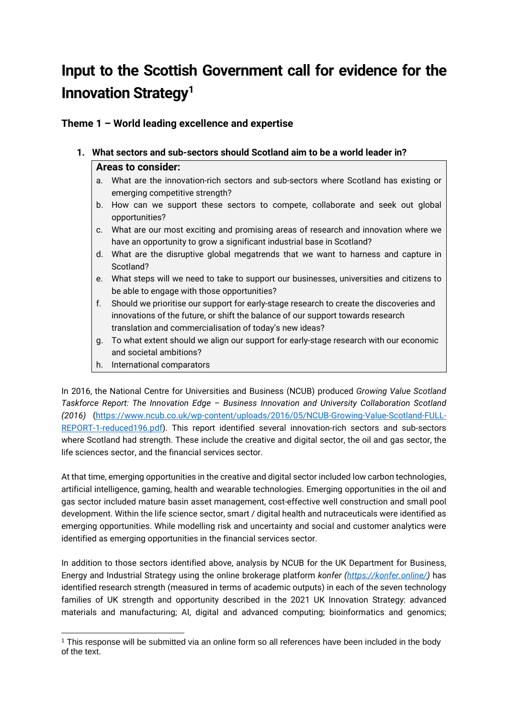# **Input to the Scottish Government call for evidence for the Innovation Strategy[1](#page-1-0)**

**Theme 1 – World leading excellence and expertise**

### **1. What sectors and sub-sectors should Scotland aim to be a world leader in? Areas to consider:**

- a. What are the innovation-rich sectors and sub-sectors where Scotland has existing or emerging competitive strength?
- b. How can we support these sectors to compete, collaborate and seek out global opportunities?
- c. What are our most exciting and promising areas of research and innovation where we have an opportunity to grow a significant industrial base in Scotland?
- d. What are the disruptive global megatrends that we want to harness and capture in Scotland?
- e. What steps will we need to take to support our businesses, universities and citizens to be able to engage with those opportunities?
- f. Should we prioritise our support for early-stage research to create the discoveries and innovations of the future, or shift the balance of our support towards research translation and commercialisation of today's new ideas?
- g. To what extent should we align our support for early-stage research with our economic and societal ambitions?
- h. International comparators

In 2016, the National Centre for Universities and Business (NCUB) produced *Growing Value Scotland Taskforce Report: The Innovation Edge – Business Innovation and University Collaboration Scotland (2016)* [\(https://www.ncub.co.uk/wp-content/uploads/2016/05/NCUB-Growing-Value-Scotland-FULL-](https://www.ncub.co.uk/wp-content/uploads/2016/05/NCUB-Growing-Value-Scotland-FULL-REPORT-1-reduced196.pdf)[REPORT-1-reduced196.pdf\)](https://www.ncub.co.uk/wp-content/uploads/2016/05/NCUB-Growing-Value-Scotland-FULL-REPORT-1-reduced196.pdf). This report identified several innovation-rich sectors and sub-sectors where Scotland had strength. These include the creative and digital sector, the oil and gas sector, the life sciences sector, and the financial services sector.

At that time, emerging opportunities in the creative and digital sector included low carbon technologies, artificial intelligence, gaming, health and wearable technologies. Emerging opportunities in the oil and gas sector included mature basin asset management, cost-effective well construction and small pool development. Within the life science sector, smart / digital health and nutraceuticals were identified as emerging opportunities. While modelling risk and uncertainty and social and customer analytics were identified as emerging opportunities in the financial services sector.

In addition to those sectors identified above, analysis by NCUB for the UK Department for Business, Energy and Industrial Strategy using the online brokerage platform *konfer [\(https://konfer.online/\)](https://konfer.online/)* has identified research strength (measured in terms of academic outputs) in each of the seven technology families of UK strength and opportunity described in the 2021 UK Innovation Strategy: advanced materials and manufacturing; AI, digital and advanced computing; bioinformatics and genomics;

<span id="page-1-0"></span><sup>1</sup> This response will be submitted via an online form so all references have been included in the body of the text.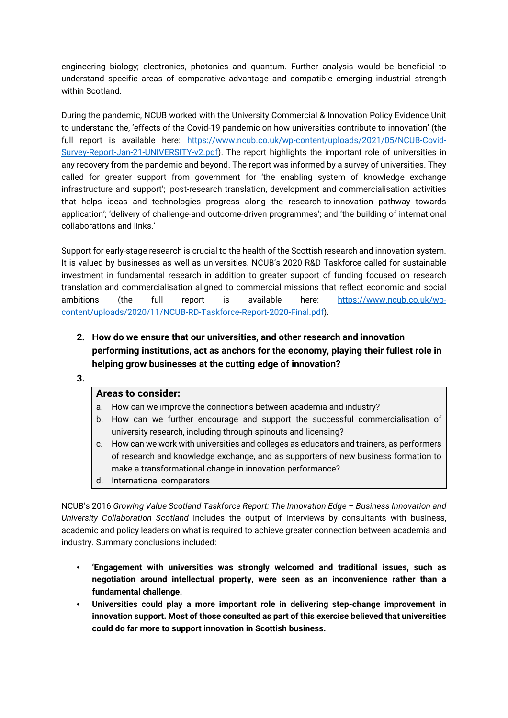engineering biology; electronics, photonics and quantum. Further analysis would be beneficial to understand specific areas of comparative advantage and compatible emerging industrial strength within Scotland.

During the pandemic, NCUB worked with the University Commercial & Innovation Policy Evidence Unit to understand the, 'effects of the Covid-19 pandemic on how universities contribute to innovation' (the full report is available here: [https://www.ncub.co.uk/wp-content/uploads/2021/05/NCUB-Covid-](https://www.ncub.co.uk/wp-content/uploads/2021/05/NCUB-Covid-Survey-Report-Jan-21-UNIVERSITY-v2.pdf)[Survey-Report-Jan-21-UNIVERSITY-v2.pdf\)](https://www.ncub.co.uk/wp-content/uploads/2021/05/NCUB-Covid-Survey-Report-Jan-21-UNIVERSITY-v2.pdf). The report highlights the important role of universities in any recovery from the pandemic and beyond. The report was informed by a survey of universities. They called for greater support from government for 'the enabling system of knowledge exchange infrastructure and support'; 'post-research translation, development and commercialisation activities that helps ideas and technologies progress along the research-to-innovation pathway towards application'; 'delivery of challenge-and outcome-driven programmes'; and 'the building of international collaborations and links.'

Support for early-stage research is crucial to the health of the Scottish research and innovation system. It is valued by businesses as well as universities. NCUB's 2020 R&D Taskforce called for sustainable investment in fundamental research in addition to greater support of funding focused on research translation and commercialisation aligned to commercial missions that reflect economic and social ambitions (the full report is available here: [https://www.ncub.co.uk/wp](https://www.ncub.co.uk/wp-content/uploads/2020/11/NCUB-RD-Taskforce-Report-2020-Final.pdf)[content/uploads/2020/11/NCUB-RD-Taskforce-Report-2020-Final.pdf\)](https://www.ncub.co.uk/wp-content/uploads/2020/11/NCUB-RD-Taskforce-Report-2020-Final.pdf).

- **2. How do we ensure that our universities, and other research and innovation performing institutions, act as anchors for the economy, playing their fullest role in helping grow businesses at the cutting edge of innovation?**
- **3.**

#### **Areas to consider:**

- a. How can we improve the connections between academia and industry?
- b. How can we further encourage and support the successful commercialisation of university research, including through spinouts and licensing?
- c. How can we work with universities and colleges as educators and trainers, as performers of research and knowledge exchange, and as supporters of new business formation to make a transformational change in innovation performance?
- d. International comparators

NCUB's 2016 *Growing Value Scotland Taskforce Report: The Innovation Edge – Business Innovation and University Collaboration Scotland* includes the output of interviews by consultants with business, academic and policy leaders on what is required to achieve greater connection between academia and industry. Summary conclusions included:

- **'Engagement with universities was strongly welcomed and traditional issues, such as negotiation around intellectual property, were seen as an inconvenience rather than a fundamental challenge.**
- **Universities could play a more important role in delivering step-change improvement in innovation support. Most of those consulted as part of this exercise believed that universities could do far more to support innovation in Scottish business.**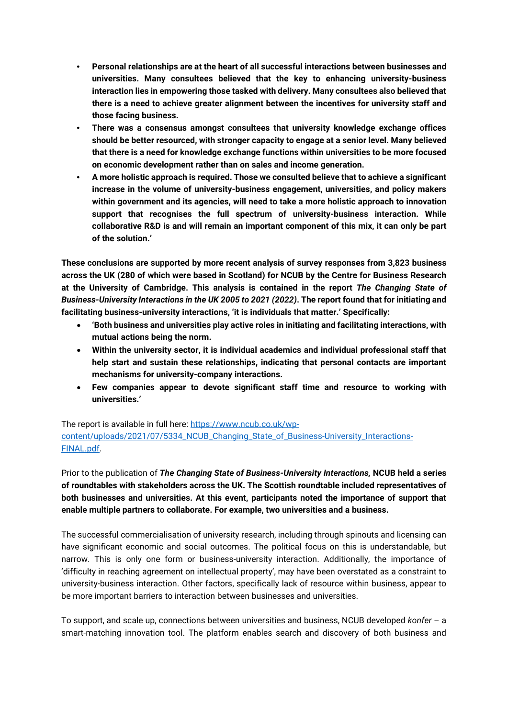- **Personal relationships are at the heart of all successful interactions between businesses and universities. Many consultees believed that the key to enhancing university-business interaction lies in empowering those tasked with delivery. Many consultees also believed that there is a need to achieve greater alignment between the incentives for university staff and those facing business.**
- **There was a consensus amongst consultees that university knowledge exchange offices should be better resourced, with stronger capacity to engage at a senior level. Many believed that there is a need for knowledge exchange functions within universities to be more focused on economic development rather than on sales and income generation.**
- **A more holistic approach is required. Those we consulted believe that to achieve a significant increase in the volume of university-business engagement, universities, and policy makers within government and its agencies, will need to take a more holistic approach to innovation support that recognises the full spectrum of university-business interaction. While collaborative R&D is and will remain an important component of this mix, it can only be part of the solution.'**

**These conclusions are supported by more recent analysis of survey responses from 3,823 business across the UK (280 of which were based in Scotland) for NCUB by the Centre for Business Research at the University of Cambridge. This analysis is contained in the report** *The Changing State of Business-University Interactions in the UK 2005 to 2021 (2022)***. The report found that for initiating and facilitating business-university interactions, 'it is individuals that matter.' Specifically:**

- **'Both business and universities play active roles in initiating and facilitating interactions, with mutual actions being the norm.**
- **Within the university sector, it is individual academics and individual professional staff that help start and sustain these relationships, indicating that personal contacts are important mechanisms for university-company interactions.**
- **Few companies appear to devote significant staff time and resource to working with universities.'**

The report is available in full here: [https://www.ncub.co.uk/wp](https://www.ncub.co.uk/wp-content/uploads/2021/07/5334_NCUB_Changing_State_of_Business-University_Interactions-FINAL.pdf)[content/uploads/2021/07/5334\\_NCUB\\_Changing\\_State\\_of\\_Business-University\\_Interactions-](https://www.ncub.co.uk/wp-content/uploads/2021/07/5334_NCUB_Changing_State_of_Business-University_Interactions-FINAL.pdf)[FINAL.pdf.](https://www.ncub.co.uk/wp-content/uploads/2021/07/5334_NCUB_Changing_State_of_Business-University_Interactions-FINAL.pdf)

Prior to the publication of *The Changing State of Business-University Interactions,* **NCUB held a series of roundtables with stakeholders across the UK. The Scottish roundtable included representatives of both businesses and universities. At this event, participants noted the importance of support that enable multiple partners to collaborate. For example, two universities and a business.** 

The successful commercialisation of university research, including through spinouts and licensing can have significant economic and social outcomes. The political focus on this is understandable, but narrow. This is only one form or business-university interaction. Additionally, the importance of 'difficulty in reaching agreement on intellectual property', may have been overstated as a constraint to university-business interaction. Other factors, specifically lack of resource within business, appear to be more important barriers to interaction between businesses and universities.

To support, and scale up, connections between universities and business, NCUB developed *konfer* – a smart-matching innovation tool. The platform enables search and discovery of both business and